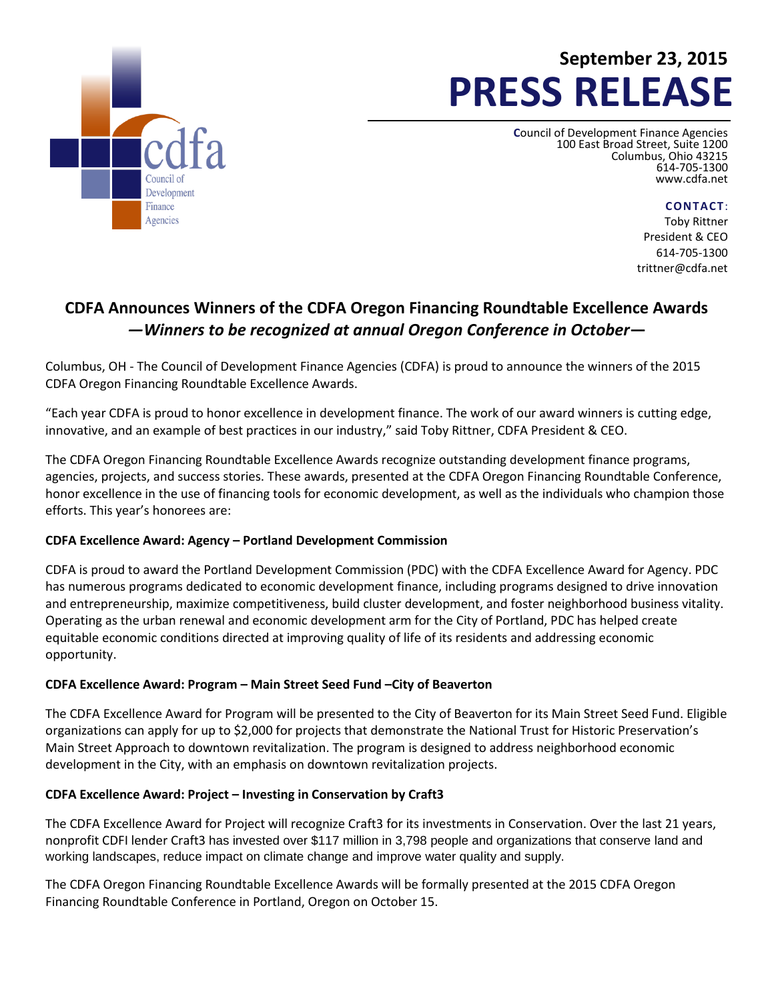

# **September 23, 2015 PRESS RELEASE**

**C**ouncil of Development Finance Agencies 100 East Broad Street, Suite 1200 Columbus, Ohio 43215 614-705-1300 [www.cdfa.net](http://www.cdfa.net/)

**CONTACT**:

Toby Rittner President & CEO 614-705-1300 trittner@cdfa.net

## **CDFA Announces Winners of the CDFA Oregon Financing Roundtable Excellence Awards** *—Winners to be recognized at annual Oregon Conference in October***—**

Columbus, OH - The Council of Development Finance Agencies (CDFA) is proud to announce the winners of the 2015 CDFA Oregon Financing Roundtable Excellence Awards.

"Each year CDFA is proud to honor excellence in development finance. The work of our award winners is cutting edge, innovative, and an example of best practices in our industry," said Toby Rittner, CDFA President & CEO.

The CDFA Oregon Financing Roundtable Excellence Awards recognize outstanding development finance programs, agencies, projects, and success stories. These awards, presented at the CDFA Oregon Financing Roundtable Conference, honor excellence in the use of financing tools for economic development, as well as the individuals who champion those efforts. This year's honorees are:

#### **CDFA Excellence Award: Agency – Portland Development Commission**

CDFA is proud to award the Portland Development Commission (PDC) with the CDFA Excellence Award for Agency. PDC has numerous programs dedicated to economic development finance, including programs designed to drive innovation and entrepreneurship, maximize competitiveness, build cluster development, and foster neighborhood business vitality. Operating as the urban renewal and economic development arm for the City of Portland, PDC has helped create equitable economic conditions directed at improving quality of life of its residents and addressing economic opportunity.

### **CDFA Excellence Award: Program – Main Street Seed Fund –City of Beaverton**

The CDFA Excellence Award for Program will be presented to the City of Beaverton for its Main Street Seed Fund. Eligible organizations can apply for up to \$2,000 for projects that demonstrate the National Trust for Historic Preservation's Main Street Approach to downtown revitalization. The program is designed to address neighborhood economic development in the City, with an emphasis on downtown revitalization projects.

#### **CDFA Excellence Award: Project – Investing in Conservation by Craft3**

The CDFA Excellence Award for Project will recognize Craft3 for its investments in Conservation. Over the last 21 years, nonprofit CDFI lender Craft3 has invested over \$117 million in 3,798 people and organizations that conserve land and working landscapes, reduce impact on climate change and improve water quality and supply.

The CDFA Oregon Financing Roundtable Excellence Awards will be formally presented at the 2015 CDFA Oregon Financing Roundtable Conference in Portland, Oregon on October 15.